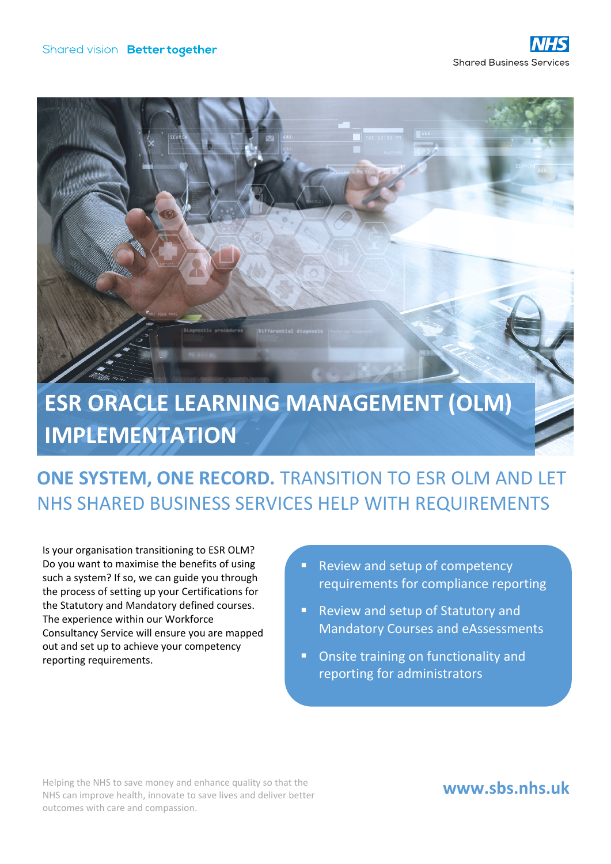

## **IMPLEMENTATION**

## **ONE SYSTEM, ONE RECORD.** TRANSITION TO ESR OLM AND LET NHS SHARED BUSINESS SERVICES HELP WITH REQUIREMENTS

Is your organisation transitioning to ESR OLM? Do you want to maximise the benefits of using such a system? If so, we can guide you through the process of setting up your Certifications for the Statutory and Mandatory defined courses. The experience within our Workforce Consultancy Service will ensure you are mapped out and set up to achieve your competency reporting requirements.

- Review and setup of competency requirements for compliance reporting
- Review and setup of Statutory and Mandatory Courses and eAssessments
- **Onsite training on functionality and** reporting for administrators

Helping the NHS to save money and enhance quality so that the NHS can improve health, innovate to save lives and deliver better outcomes with care and compassion.

## **www.sbs.nhs.uk**